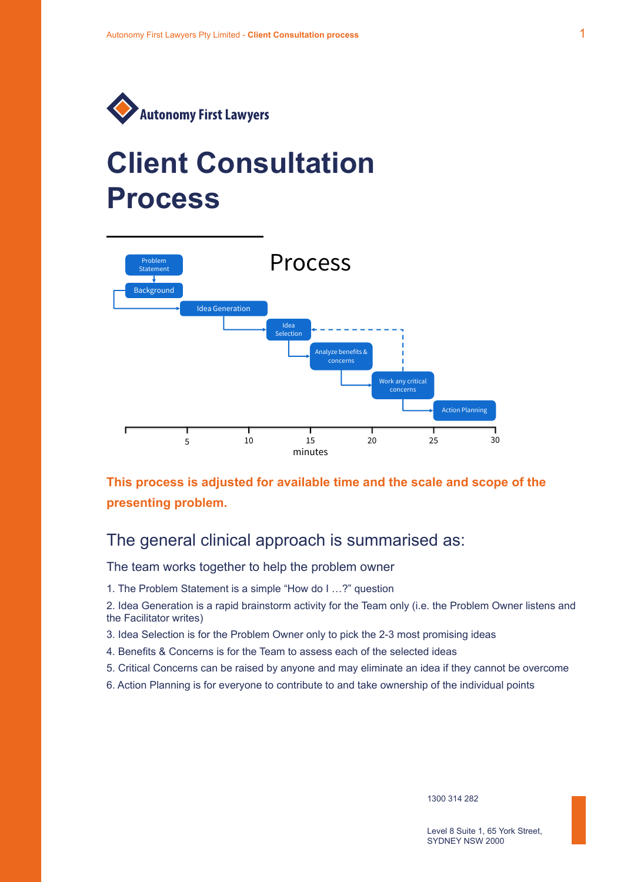

### **Client Consultation Process** PTOCESS **P**



**This process is adjusted for available time and the scale and scope of the**  This process is adjusted for available time and the scale and scope of **presenting problem.**  the presenting problem.

## The general clinical approach is summarised as: The general clinical approach is summarised as:

The team works together to help the problem owner The team works together to help the problem owner

1. The Problem Statement is a simple "How do I …?" question

2. Idea Generation is a rapid brainstorm activity for the Team only (i.e. the Problem Owner listens and the Facilitator writes)

- 3. Idea Selection is for the Problem Owner only to pick the 2-3 most promising ideas Owner listens and the Facilitator writes)
- 4. Benefits & Concerns is for the Team to assess each of the selected ideas
- 5. Critical Concerns can be raised by anyone and may eliminate an idea if they cannot be overcome
- 6. Action Planning is for everyone to contribute to and take ownership of the individual points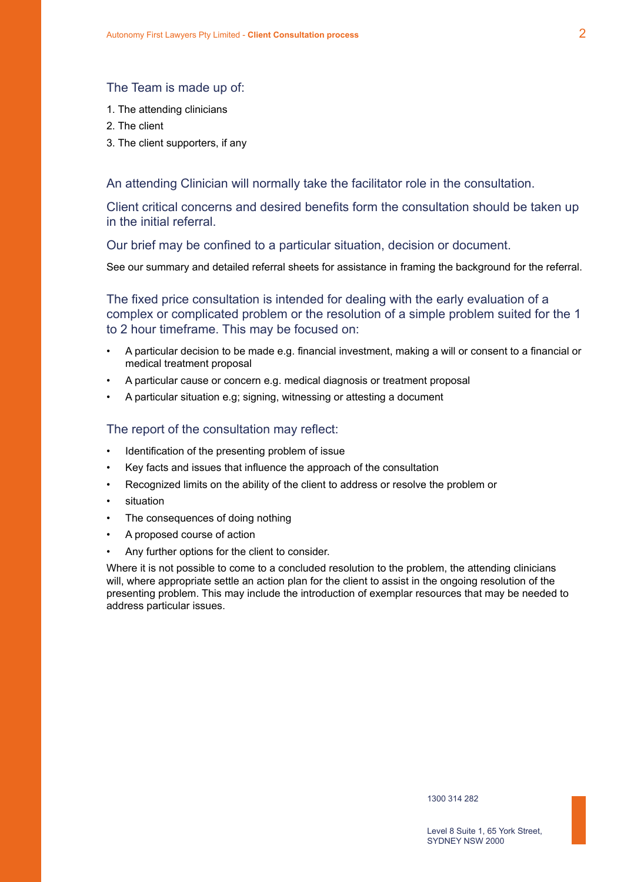#### The Team is made up of:

- 1. The attending clinicians
- 2. The client
- 3. The client supporters, if any

An attending Clinician will normally take the facilitator role in the consultation.

Client critical concerns and desired benefits form the consultation should be taken up in the initial referral.

Our brief may be confined to a particular situation, decision or document.

See our summary and detailed referral sheets for assistance in framing the background for the referral.

The fixed price consultation is intended for dealing with the early evaluation of a complex or complicated problem or the resolution of a simple problem suited for the 1 to 2 hour timeframe. This may be focused on:

- A particular decision to be made e.g. financial investment, making a will or consent to a financial or medical treatment proposal
- A particular cause or concern e.g. medical diagnosis or treatment proposal
- A particular situation e.g; signing, witnessing or attesting a document

#### The report of the consultation may reflect:

- Identification of the presenting problem of issue
- Key facts and issues that influence the approach of the consultation
- Recognized limits on the ability of the client to address or resolve the problem or
- **situation**
- The consequences of doing nothing
- A proposed course of action
- Any further options for the client to consider.

Where it is not possible to come to a concluded resolution to the problem, the attending clinicians will, where appropriate settle an action plan for the client to assist in the ongoing resolution of the presenting problem. This may include the introduction of exemplar resources that may be needed to address particular issues.